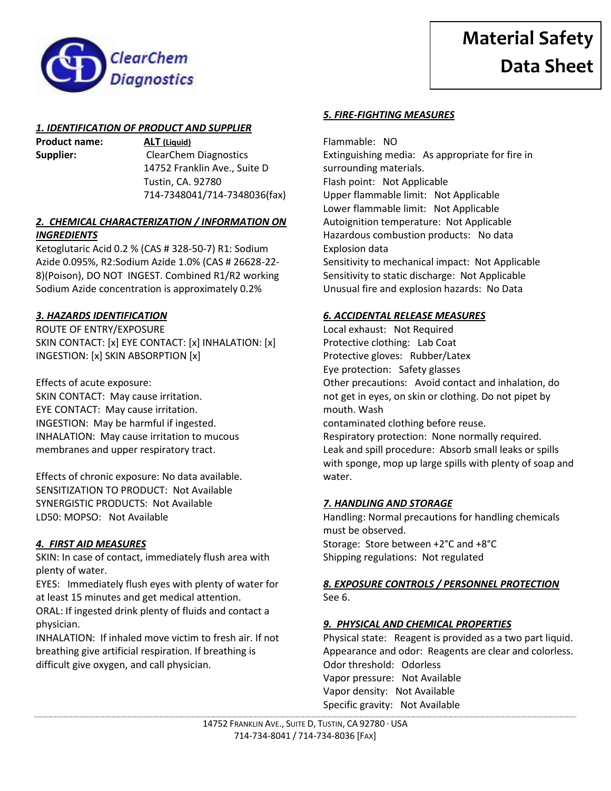



# *1. IDENTIFICATION OF PRODUCT AND SUPPLIER*

**Product name: ALT (Liquid)**

**Supplier:** ClearChem Diagnostics 14752 Franklin Ave., Suite D Tustin, CA. 92780 714-7348041/714-7348036(fax)

### *2. CHEMICAL CHARACTERIZATION / INFORMATION ON INGREDIENTS*

Ketoglutaric Acid 0.2 % (CAS # 328-50-7) R1: Sodium Azide 0.095%, R2:Sodium Azide 1.0% (CAS # 26628-22- 8)(Poison), DO NOT INGEST. Combined R1/R2 working Sodium Azide concentration is approximately 0.2%

## *3. HAZARDS IDENTIFICATION*

ROUTE OF ENTRY/EXPOSURE SKIN CONTACT: [x] EYE CONTACT: [x] INHALATION: [x] INGESTION: [x] SKIN ABSORPTION [x]

Effects of acute exposure: SKIN CONTACT: May cause irritation. EYE CONTACT: May cause irritation. INGESTION: May be harmful if ingested. INHALATION: May cause irritation to mucous membranes and upper respiratory tract.

Effects of chronic exposure: No data available. SENSITIZATION TO PRODUCT: Not Available SYNERGISTIC PRODUCTS: Not Available LD50: MOPSO: Not Available

# *4. FIRST AID MEASURES*

SKIN: In case of contact, immediately flush area with plenty of water.

EYES: Immediately flush eyes with plenty of water for at least 15 minutes and get medical attention.

ORAL: If ingested drink plenty of fluids and contact a physician.

INHALATION: If inhaled move victim to fresh air. If not breathing give artificial respiration. If breathing is difficult give oxygen, and call physician.

### *5. FIRE-FIGHTING MEASURES*

Flammable: NO Extinguishing media: As appropriate for fire in surrounding materials. Flash point: Not Applicable Upper flammable limit: Not Applicable Lower flammable limit: Not Applicable Autoignition temperature: Not Applicable Hazardous combustion products: No data Explosion data Sensitivity to mechanical impact: Not Applicable Sensitivity to static discharge: Not Applicable Unusual fire and explosion hazards: No Data

### *6. ACCIDENTAL RELEASE MEASURES*

Local exhaust: Not Required Protective clothing: Lab Coat Protective gloves: Rubber/Latex Eye protection: Safety glasses Other precautions: Avoid contact and inhalation, do not get in eyes, on skin or clothing. Do not pipet by mouth. Wash contaminated clothing before reuse. Respiratory protection: None normally required. Leak and spill procedure: Absorb small leaks or spills with sponge, mop up large spills with plenty of soap and water.

### *7. HANDLING AND STORAGE*

Handling: Normal precautions for handling chemicals must be observed. Storage: Store between +2°C and +8°C Shipping regulations: Not regulated

### *8. EXPOSURE CONTROLS / PERSONNEL PROTECTION* See 6.

### *9. PHYSICAL AND CHEMICAL PROPERTIES*

Physical state: Reagent is provided as a two part liquid. Appearance and odor: Reagents are clear and colorless. Odor threshold: Odorless Vapor pressure: Not Available Vapor density: Not Available Specific gravity: Not Available